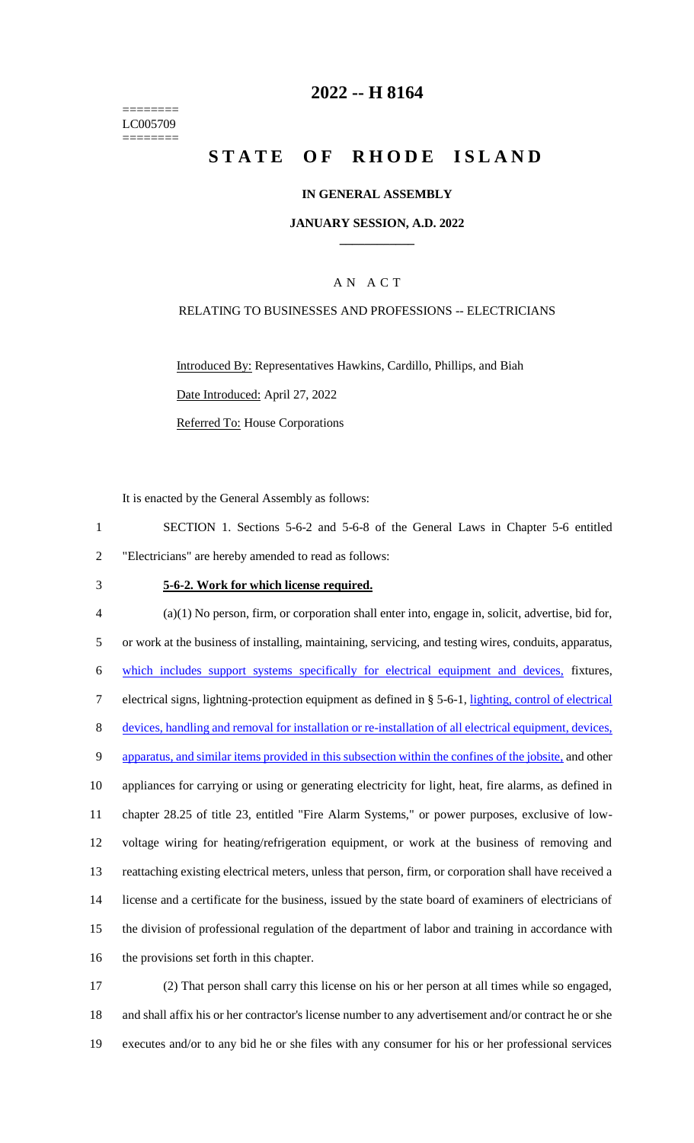======== LC005709 ========

# **2022 -- H 8164**

# **STATE OF RHODE ISLAND**

#### **IN GENERAL ASSEMBLY**

#### **JANUARY SESSION, A.D. 2022 \_\_\_\_\_\_\_\_\_\_\_\_**

#### A N A C T

## RELATING TO BUSINESSES AND PROFESSIONS -- ELECTRICIANS

Introduced By: Representatives Hawkins, Cardillo, Phillips, and Biah Date Introduced: April 27, 2022 Referred To: House Corporations

It is enacted by the General Assembly as follows:

- 1 SECTION 1. Sections 5-6-2 and 5-6-8 of the General Laws in Chapter 5-6 entitled 2 "Electricians" are hereby amended to read as follows:
- 

#### 3 **5-6-2. Work for which license required.**

 (a)(1) No person, firm, or corporation shall enter into, engage in, solicit, advertise, bid for, or work at the business of installing, maintaining, servicing, and testing wires, conduits, apparatus, which includes support systems specifically for electrical equipment and devices, fixtures, electrical signs, lightning-protection equipment as defined in § 5-6-1, lighting, control of electrical devices, handling and removal for installation or re-installation of all electrical equipment, devices, 9 apparatus, and similar items provided in this subsection within the confines of the jobsite, and other appliances for carrying or using or generating electricity for light, heat, fire alarms, as defined in chapter 28.25 of title 23, entitled "Fire Alarm Systems," or power purposes, exclusive of low- voltage wiring for heating/refrigeration equipment, or work at the business of removing and reattaching existing electrical meters, unless that person, firm, or corporation shall have received a license and a certificate for the business, issued by the state board of examiners of electricians of the division of professional regulation of the department of labor and training in accordance with the provisions set forth in this chapter.

17 (2) That person shall carry this license on his or her person at all times while so engaged, 18 and shall affix his or her contractor's license number to any advertisement and/or contract he or she 19 executes and/or to any bid he or she files with any consumer for his or her professional services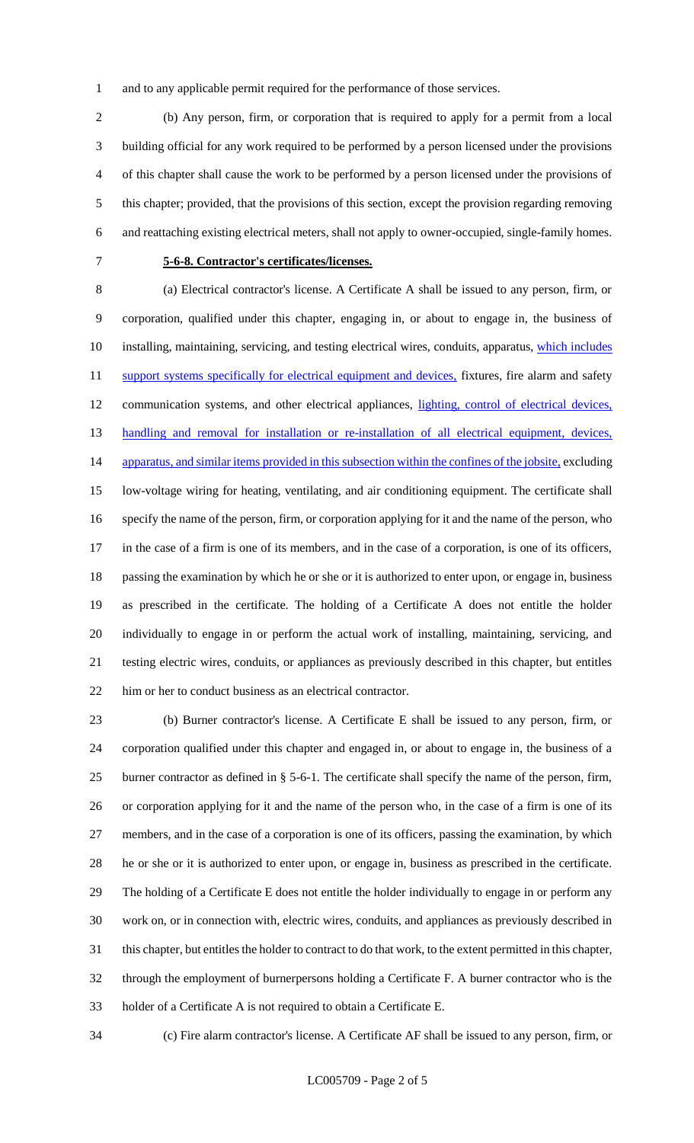and to any applicable permit required for the performance of those services.

 (b) Any person, firm, or corporation that is required to apply for a permit from a local building official for any work required to be performed by a person licensed under the provisions of this chapter shall cause the work to be performed by a person licensed under the provisions of this chapter; provided, that the provisions of this section, except the provision regarding removing and reattaching existing electrical meters, shall not apply to owner-occupied, single-family homes.

## **5-6-8. Contractor's certificates/licenses.**

 (a) Electrical contractor's license. A Certificate A shall be issued to any person, firm, or corporation, qualified under this chapter, engaging in, or about to engage in, the business of 10 installing, maintaining, servicing, and testing electrical wires, conduits, apparatus, which includes 11 support systems specifically for electrical equipment and devices, fixtures, fire alarm and safety 12 communication systems, and other electrical appliances, lighting, control of electrical devices, 13 handling and removal for installation or re-installation of all electrical equipment, devices, 14 apparatus, and similar items provided in this subsection within the confines of the jobsite, excluding low-voltage wiring for heating, ventilating, and air conditioning equipment. The certificate shall specify the name of the person, firm, or corporation applying for it and the name of the person, who in the case of a firm is one of its members, and in the case of a corporation, is one of its officers, passing the examination by which he or she or it is authorized to enter upon, or engage in, business as prescribed in the certificate. The holding of a Certificate A does not entitle the holder individually to engage in or perform the actual work of installing, maintaining, servicing, and testing electric wires, conduits, or appliances as previously described in this chapter, but entitles him or her to conduct business as an electrical contractor.

 (b) Burner contractor's license. A Certificate E shall be issued to any person, firm, or corporation qualified under this chapter and engaged in, or about to engage in, the business of a burner contractor as defined in § 5-6-1. The certificate shall specify the name of the person, firm, or corporation applying for it and the name of the person who, in the case of a firm is one of its members, and in the case of a corporation is one of its officers, passing the examination, by which he or she or it is authorized to enter upon, or engage in, business as prescribed in the certificate. The holding of a Certificate E does not entitle the holder individually to engage in or perform any work on, or in connection with, electric wires, conduits, and appliances as previously described in this chapter, but entitles the holder to contract to do that work, to the extent permitted in this chapter, through the employment of burnerpersons holding a Certificate F. A burner contractor who is the holder of a Certificate A is not required to obtain a Certificate E.

(c) Fire alarm contractor's license. A Certificate AF shall be issued to any person, firm, or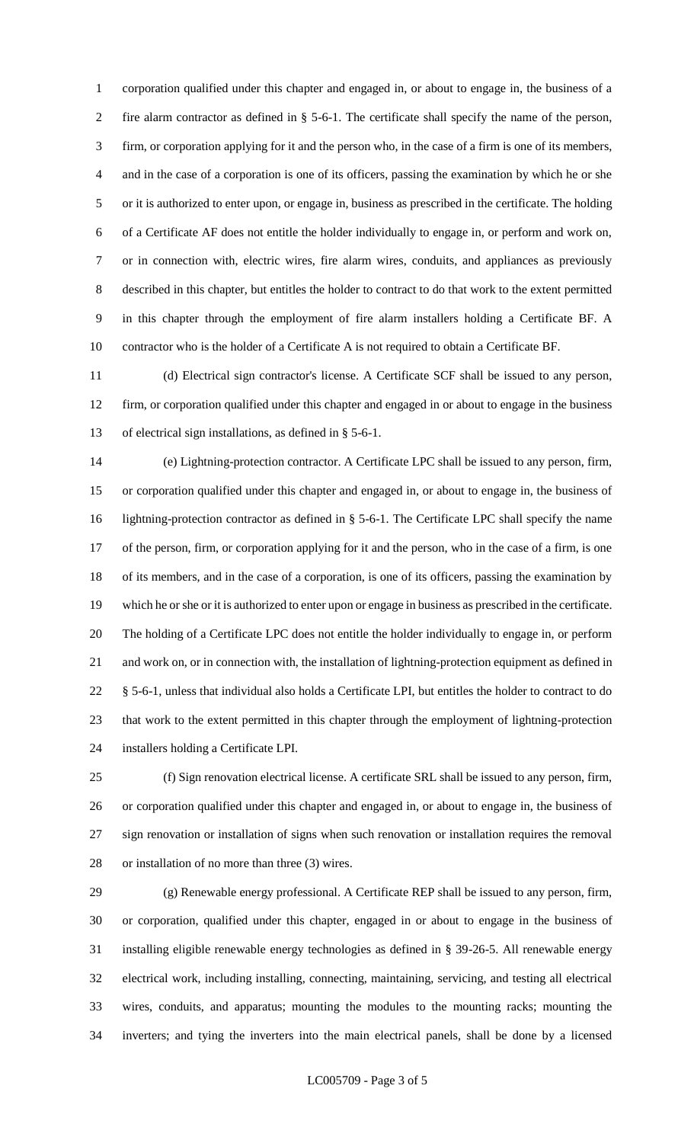corporation qualified under this chapter and engaged in, or about to engage in, the business of a fire alarm contractor as defined in § 5-6-1. The certificate shall specify the name of the person, firm, or corporation applying for it and the person who, in the case of a firm is one of its members, and in the case of a corporation is one of its officers, passing the examination by which he or she or it is authorized to enter upon, or engage in, business as prescribed in the certificate. The holding of a Certificate AF does not entitle the holder individually to engage in, or perform and work on, or in connection with, electric wires, fire alarm wires, conduits, and appliances as previously described in this chapter, but entitles the holder to contract to do that work to the extent permitted in this chapter through the employment of fire alarm installers holding a Certificate BF. A contractor who is the holder of a Certificate A is not required to obtain a Certificate BF.

 (d) Electrical sign contractor's license. A Certificate SCF shall be issued to any person, firm, or corporation qualified under this chapter and engaged in or about to engage in the business of electrical sign installations, as defined in § 5-6-1.

 (e) Lightning-protection contractor. A Certificate LPC shall be issued to any person, firm, or corporation qualified under this chapter and engaged in, or about to engage in, the business of lightning-protection contractor as defined in § 5-6-1. The Certificate LPC shall specify the name of the person, firm, or corporation applying for it and the person, who in the case of a firm, is one of its members, and in the case of a corporation, is one of its officers, passing the examination by which he or she or it is authorized to enter upon or engage in business as prescribed in the certificate. The holding of a Certificate LPC does not entitle the holder individually to engage in, or perform and work on, or in connection with, the installation of lightning-protection equipment as defined in 22 § 5-6-1, unless that individual also holds a Certificate LPI, but entitles the holder to contract to do that work to the extent permitted in this chapter through the employment of lightning-protection installers holding a Certificate LPI.

 (f) Sign renovation electrical license. A certificate SRL shall be issued to any person, firm, or corporation qualified under this chapter and engaged in, or about to engage in, the business of sign renovation or installation of signs when such renovation or installation requires the removal or installation of no more than three (3) wires.

 (g) Renewable energy professional. A Certificate REP shall be issued to any person, firm, or corporation, qualified under this chapter, engaged in or about to engage in the business of installing eligible renewable energy technologies as defined in § 39-26-5. All renewable energy electrical work, including installing, connecting, maintaining, servicing, and testing all electrical wires, conduits, and apparatus; mounting the modules to the mounting racks; mounting the inverters; and tying the inverters into the main electrical panels, shall be done by a licensed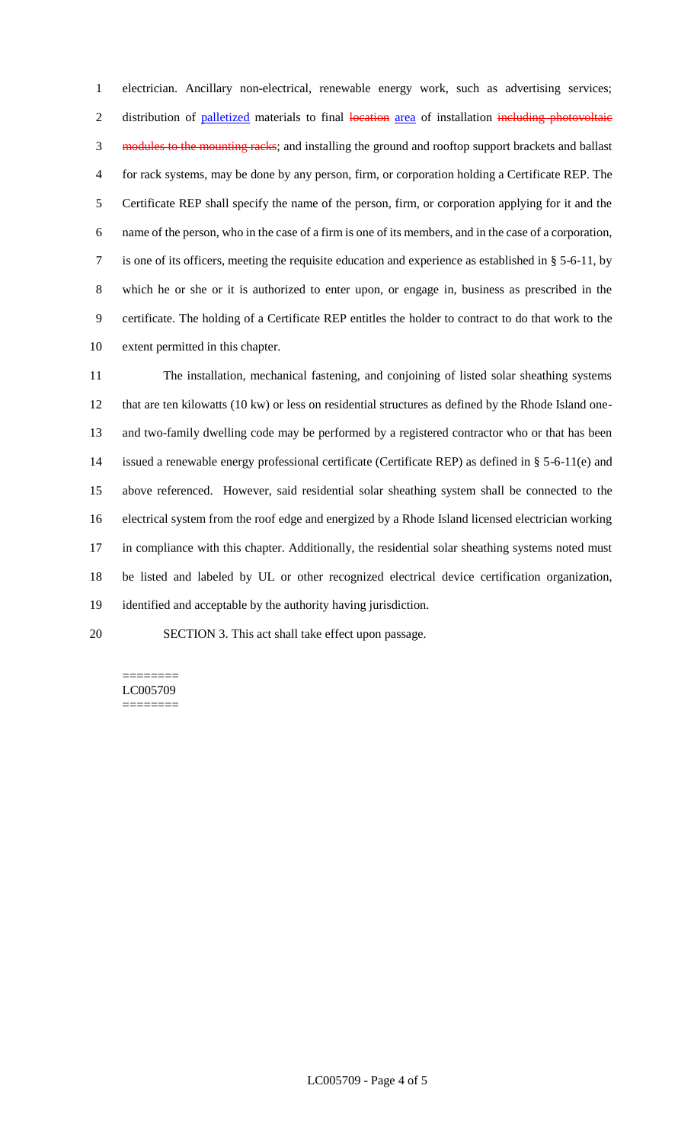electrician. Ancillary non-electrical, renewable energy work, such as advertising services; 2 distribution of palletized materials to final location area of installation including photovoltaic 3 modules to the mounting racks; and installing the ground and rooftop support brackets and ballast for rack systems, may be done by any person, firm, or corporation holding a Certificate REP. The Certificate REP shall specify the name of the person, firm, or corporation applying for it and the name of the person, who in the case of a firm is one of its members, and in the case of a corporation, is one of its officers, meeting the requisite education and experience as established in § 5-6-11, by which he or she or it is authorized to enter upon, or engage in, business as prescribed in the certificate. The holding of a Certificate REP entitles the holder to contract to do that work to the extent permitted in this chapter.

 The installation, mechanical fastening, and conjoining of listed solar sheathing systems that are ten kilowatts (10 kw) or less on residential structures as defined by the Rhode Island one- and two-family dwelling code may be performed by a registered contractor who or that has been issued a renewable energy professional certificate (Certificate REP) as defined in § 5-6-11(e) and above referenced. However, said residential solar sheathing system shall be connected to the electrical system from the roof edge and energized by a Rhode Island licensed electrician working 17 in compliance with this chapter. Additionally, the residential solar sheathing systems noted must be listed and labeled by UL or other recognized electrical device certification organization, identified and acceptable by the authority having jurisdiction.

SECTION 3. This act shall take effect upon passage.

======== LC005709 ========